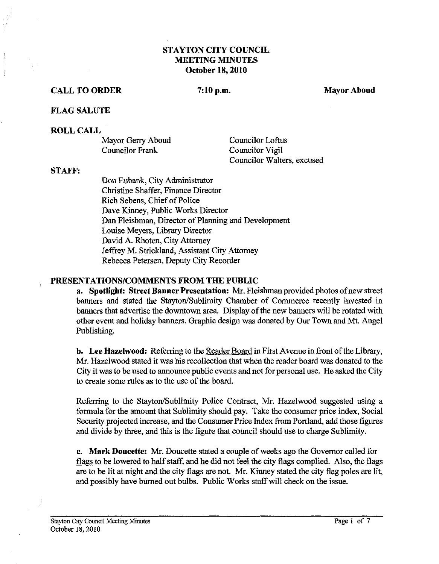## **STAYTON CITY COUNCIL MEETING MINUTES October 18,2010**

#### **CALL TO ORDER** 7:10 p.m. Mayor Aboud **Mayor Aboud**

#### **FLAG SALUTE**

#### **ROLL CALL**

| Mayor Gerry Aboud      |  |
|------------------------|--|
| <b>Councilor Frank</b> |  |

Councilor Loftus Councilor Vigil Councilor Walters, excused

#### **STAFF:**

Don Eubank, City Administrator Christine Shaffer, Finance Director Rich Sebens, Chief of Police Dave Kinney, Public Works Director Dan Fleishman, Director of Planning and Development Louise Meyers, Library Director David **A.** Rhoten, City Attorney Jeffrey M. Strickland, Assistant City Attorney Rebecca Petersen, Deputy City Recorder

#### **PRESENTATIONSICOMMENTS FROM THE PUBLIC**

**a.** Spotlight: Street Banner Presentation: Mr. Fleishman provided photos of new street banners and stated the Stayton/Sublimity Chamber of Commerce recently invested in banners that advertise the downtown area. Display of the new banners will be rotated with other event and holiday banners. Graphic design was donated by Our Town and Mt. Angel Publishing.

**b. Lee Hazelwood:** Referring to the Reader Board in First Avenue in front of the Library, Mr. Hazelwood stated it was his recollection that when the reader board was donated to the City it was to be used to announce public events and not for personal use. He asked the City to create some rules as to the use of the board.

Referring to the Stayton/Sublimity Police Contract, Mr. Hazelwood suggested using a formula for the amount that Sublimity should pay. Take the consumer price index, Social Security projected increase, and the Consumer Price Index from Portland, add those figures and divide by three, and this is the figure that council should use to charge Sublimity.

**c. Mark Doucette:** Mr. Doucette stated a couple of weeks ago the Governor called for flags to be lowered to half staff, and he did not feel the city flags complied. Also, the flags are to be lit at night and the city flags are not. Mr. Kinney stated the city flag poles are lit, and possibly have burned out bulbs. Public Works staff will check on the issue.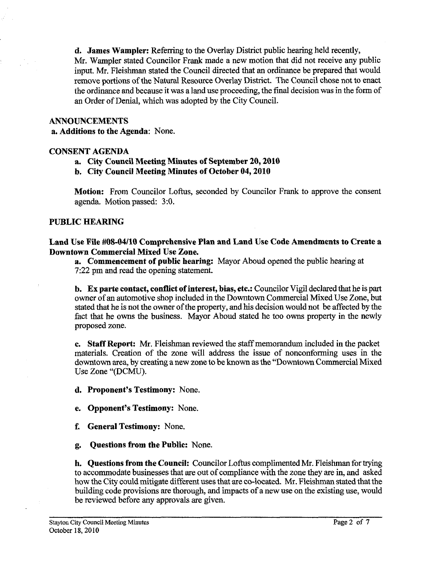**d. James Wampler:** Referring to the Overlay District public hearing held recently, Mr. Wampler stated Councilor Frank made a new motion that did not receive any public input. Mr. Fleishman stated the Council directed that an ord'mance be prepared that would remove portions of the Natural Resource Overlay District. The Council chose not to enact the ordinance and because it was a land use proceeding, the fmal decision was in the form of an Order of Denial, which was adopted by the City Council.

#### **ANNOUNCEMENTS**

 $\frac{1}{2}$ 

**a. Additions to the Agenda:** None.

### **CONSENT AGENDA**

### **a. City Council Meeting Minutes of September 20,2010**

**b. City Council Meeting Minutes of October 04,2010** 

**Motion:** From Councilor Loftus, seconded by Councilor Frank to approve the consent agenda. Motion passed: *3:O.* 

### **PUBLIC HEARING**

**Land Use File M8-04/10 Comprehensive Plan and Land Use Code Amendments to Create a Downtown Commercial Mixed Use Zone.** 

**a. Commencement of public hearing:** Mayor Aboud opened the public hearing at **7:22** pm and read the opening statement.

**b.** Ex **parte contact, conflict of interest, bias, etc.:** Councilor Vigil declared that he is part owner of an automotive shop included in the Downtown Commercial Mixed Use Zone, but stated that he is not the owner of the property, and his decision would not be affected by the fact that he owns the business. Mayor Aboud stated he too owns property in the newly proposed zone.

**c. Staff Report: Mr.** Fleishman reviewed the staff memorandum included in the packet materials. Creation of the zone will address the issue of nonconforming uses in the downtown area, by creating a new zone to be known as the "Downtown Commercial Mixed Use Zone "(DCMU).

**d. Proponent's Testimony:** None.

**e. Opponent's Testimony:** None.

**f. General Testimony:** None.

**g. Questions from the Public:** None.

**h. Questions from the Council:** Councilor Loftus complimented Mr. Fleishman for trying to accommodate businesses that are out of compliance with the zone they are in, and asked how the City could mitigate different uses that are co-located. Mr. Fleishman stated that the building code provisions are thorough, and impacts of a new use on the existing use, would be reviewed before any approvals are given.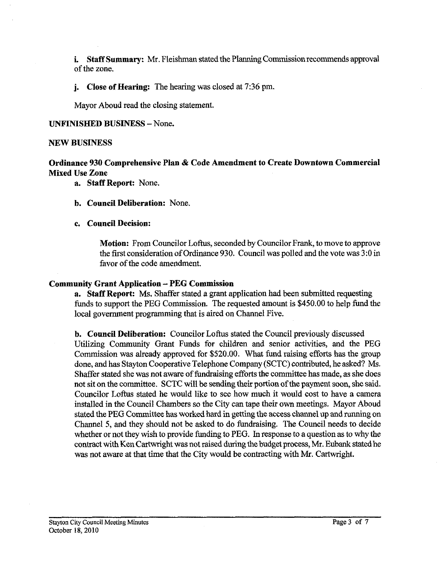**i.** Staff Summary: Mr. Fleishman stated the Planning Commission recommends approval of the zone.

**j. Close of Hearing:** The hearing was closed at 7:36 pm.

Mayor Aboud read the closing statement.

#### **UNFINISHED BUSINESS** - None.

#### **NEW BUSINESS**

## **Ordinance 930 Comprehensive Plan** & **Code Amendment to Create Downtown Commercial Mixed Use Zone**

- **a. Staff Report:** None.
- **b. Council Deliberation:** None.

#### **c. Council Decision:**

**Motion:** From Councilor Loftus, seconded by Councilor Frank, to move to approve the first consideration of Ordinance 930. Council was polled and the vote was 3:O in favor of the code amendment.

#### **Community Grant Application** - **PEG Commission**

**a. Staff Report:** Ms. Shaffer stated a grant application had been submitted requesting funds to support the PEG Commission. The requested amount is \$450.00 to help fund the local government programming that is aired on Channel Five.

**b. Council Deliberation:** Councilor Loftus stated the Council previously discussed Utilizing Community Grant Funds for children and senior activities, and the PEG Commission was already approved for \$520.00. What fund raising efforts has the group done, and has Stayton Cooperative Telephone Company (SCTC) contributed, he asked? Ms. Shaffer stated she was not aware of fundraising efforts the committee has made, as she does not sit on the committee. SCTC will be sending their portion of the payment soon, she said. Councilor Loftus stated he would like to see how much it would cost to have a camera installed in the Council Chambers so the City can tape their own meetings. Mayor Aboud stated the PEG Committee has worked hard in getting the access channel up and running on Channel 5, and they should not be asked to do fundraising. The Council needs to decide whether or not they wish to provide funding to PEG. In response to a question as to why the contract with Ken Cartwright was not raised during the budget process, Mr. Eubank stated he was not aware at that time that the City would be contracting with Mr. Cartwright.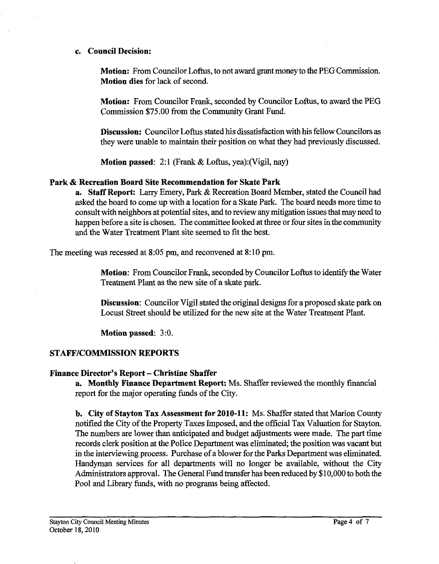#### **c. Council Decision:**

**Motion:** From Councilor Loftus, to not award grant money to the PEG Commission. **Motion dies** for lack of second.

**Motion:** From Councilor Frank, seconded by Councilor Loftus, to award the PEG Commission **\$75.00** fiom the Community Grant Fund.

**Discussion:** Councilor Loftus stated his dissatisfaction with his fellow Councilors as they were unable to maintain their position on what they had previously discussed.

**Motion passed:** 2:l (Frank & Loftus, yea):(Vigil, nay)

#### **Park** & **Recreation Board Site Recommendation for Skate Park**

**a. Staff Report:** Larry Emery, Park & Recreation Board Member, stated the Council had asked the board to come up with a location for a Skate Park. The board needs more time to consult with neighbors at potential sites, and to review any mitigation issues that may need to happen before a site is chosen. The committee looked at three or four sites in the community and the Water Treatment Plant site seemed to fit the best.

The meeting was recessed at **8:05** pm, and reconvened at **8: 10** pm,

**Motion:** From Councilor Frank, seconded by Councilor Loftus to identify the Water Treatment Plant as the new site of a skate park.

**Discussion:** Councilor Vigil stated the original designs for a proposed skate park on Locust Street should be utilized for the new site at the Water Treatment Plant.

**Motion passed: 3:O.** 

### **STAFFICOMMISSION REPORTS**

### **Finance Director's Report** - **Christine Shaffer**

**a. Monthly Fiance Department Report:** Ms. Shaffer reviewed the monthly financial report for the major operating funds of the City.

**b. City of Stayton Tax Assessment for 2010-11:** Ms. Shaffer stated that Marion County notified the City of the Property Taxes Imposed, and the official Tax Valuation for Stayton. The numbers are lower than anticipated and budget adjustments were made. The part time records clerk position at the Police Department was eliminated; the position was vacant but in the interviewing process. Purchase of a blower for the Parks Department was eliminated. Handyman services for all departments will no longer be available, without the City Administrators approval. The General Fund transfer has been reduced by **\$10,000** to both the Pool and Library funds, with no programs being affected.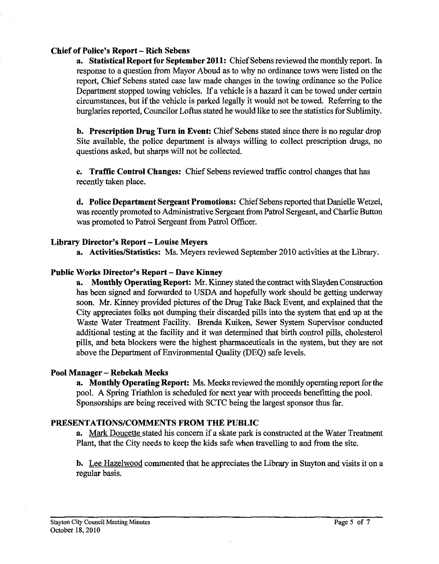#### **Chief of Police's Report** - **Rich Sebens**

**a. Statistical Report for September 2011:** Chief Sebens reviewed the monthly report. In response to a question from Mayor Aboud as to why no ordinance tows were listed on the report, Chief Sebens stated case law made changes in the towing ordinance so the Police Department stopped towing vehicles. If a vehicle is a hazard it can be towed under certain circumstances, but if the vehicle is parked legally it would not be towed. Refemng to the burglaries reported, Councilor Loftus stated he would like to see the statistics for Sublimity.

**b. Prescription Drug Turn in Event:** Chief Sebens stated since there is no regular drop Site available, the police department is always willing to collect prescription drugs, no questions asked, but sharps will not be collected.

**c. Traffic Control Changes:** Chief Sebens reviewed traffic control changes that has recently taken place.

**d. Police Department Sergeant Promotions:** Chief Sebens reported that Danielle Wetzel, was recently promoted to Administrative Sergeant from Patrol Sergeant, and Charlie Button was promoted to Patrol Sergeant from Patrol Officer.

#### **Library Director's Report** - **Louise Meyers**

**a. ActivitieslStatistics:** Ms. Meyers reviewed September 2010 activities at the Library.

#### **Public Works Director's Report** - **Dave Kinney**

**a.** Monthly Operating Report: Mr. Kinney stated the contract with Slayden Construction has been signed and forwarded to USDA and hopefully work should be getting underway soon. Mr. Kinney provided pictures of the Drug Take Back Event, and explained that the City appreciates folks not dumping their discarded pills into the system that end up at the Waste Water Treatment Facility. Brenda Kuiken, Sewer System Supervisor conducted additional testing at the facility and it was determined that birth control pills, cholesterol pills, and beta blockers were the highest pharmaceuticals in the system, but they are not above the Department of Environmental Quality (DEQ) safe levels.

### **Pool Manager** - **Rebekah Meeks**

**a. Monthly Operating Report:** Ms. Meeks reviewed the monthly operating report forthe pool. A Spring Triathlon is scheduled for next year with proceeds benefitting the pool. Sponsorships are being received with SCTC being the largest sponsor thus far.

## **PRESENTATIONSICOMMENTS FROM THE PUBLIC**

**a.** Mark Doucette stated his concern if a skate park is constructed at the Water Treatment Plant, that the City needs to keep the kids safe when travelling to and from the site.

**b.** Lee Hazelwood commented that he appreciates the Library in Stayton and visits it on a regular basis.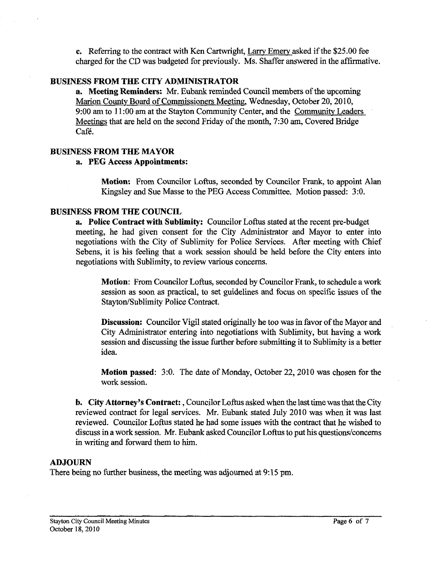**c.** Referring to the contract with Ken Cartwright, Larry Emery asked if the \$25.00 fee charged for the CD was budgeted for previously. Ms. Shaffer answered in the affirmative.

## **BUSINESS FROM THE CITY ADMINISTRATOR**

**a.** Meeting Reminders: Mr. Eubank reminded Council members of the upcoming Marion County Board of Commissioners Meeting, Wednesday, October 20,2010, 9:OO **am** to 1 1 :00 **am** at the Stayton Community Center, and the Community Leaders Meetings that are held on the second Friday of the month, 7:30 am, Covered Bridge Cafe.

## **BUSINESS FROM THE MAYOR**

## **a. PEG Access Appointments:**

**Motion:** From Councilor Loftus, seconded by Councilor Frank, to appoint **Alan**  Kingsley and Sue Masse to the PEG Access Committee. Motion passed: 3:O.

## **BUSINESS FROM THE COUNCIL**

**a. Police Contract with Sublimity:** Councilor Loftus stated at the recent pre-budget meeting, he had given consent for the City Administrator and Mayor to enter into negotiations with the City of Sublimity for Police Services. After meeting with Chief Sebens, it is his feeling that a work session should be held before the City enters into negotiations with Sublimity, to review various concerns.

**Motion:** From Councilor Loftus, seconded by Councilor Frank, to schedule a work session as soon as practical, to set guidelines and focus on specific issues of the Stayton/Sublimity Police Contract.

**Discussion:** Councilor Vigil stated originally he too was in favor of the Mayor and City Administrator entering into negotiations with Sublimity, but having a work session and discussing the issue further before submitting it to Sublimity is a better idea.

**Motion passed:** 3:O. The date of Monday, October 22,2010 was chosen for the work session.

**b.** City Attorney's Contract: , Councilor Loftus asked when the last time was that the City reviewed contract for legal services. Mr. Eubank stated July 2010 was when it was last reviewed. Councilor Loftus stated he had some issues with the contract that he wished to discuss in a work session. Mr. Eubank asked Councilor Loftus to put his questions/concems in writing and forward them to him.

### **ADJOURN**

There being no further business, the meeting was adjourned at 9:15 pm.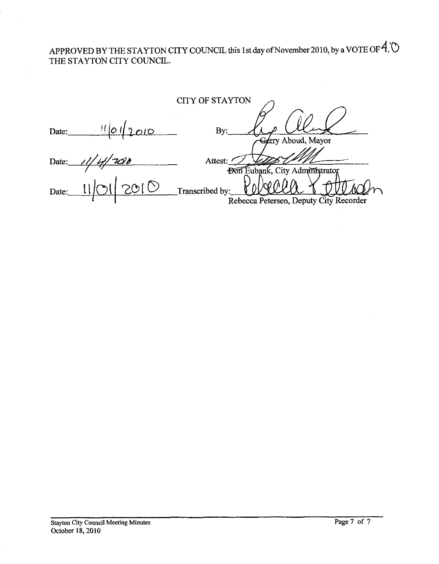APPROVED BY THE STAYTON CITY COUNCIL this 1st day of November 2010, by a VOTE OF  $4$ .  $\circledcirc$ THE STAYTON CITY COUNCIL.

|       |      | <b>CITY OF STAYTON</b>                            |
|-------|------|---------------------------------------------------|
| Date: | nio  | By:                                               |
| Date: | US O | Gerry Aboud, Mayor<br>Attest:                     |
| Date: |      | Don Eubank, City Administrator<br>Transcribed by: |
|       |      | Rebecca Petersen, Deputy City Recorder            |

 $\bar{r}$